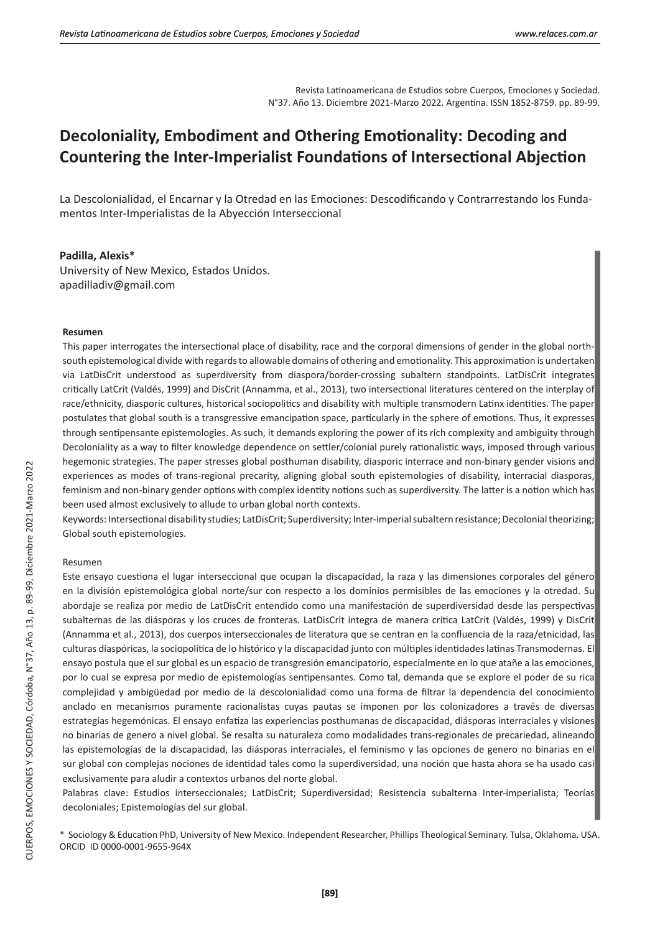Revista Latinoamericana de Estudios sobre Cuerpos, Emociones y Sociedad. N°37. Año 13. Diciembre 2021-Marzo 2022. Argentina. ISSN 1852-8759. pp. 89-99.

# **Decoloniality, Embodiment and Othering Emotionality: Decoding and Countering the Inter-Imperialist Foundations of Intersectional Abjection**

La Descolonialidad, el Encarnar y la Otredad en las Emociones: Descodificando y Contrarrestando los Fundamentos Inter-Imperialistas de la Abyección Interseccional

#### **Padilla, Alexis\***

University of New Mexico, Estados Unidos. apadilladiv@gmail.com

#### **Resumen**

This paper interrogates the intersectional place of disability, race and the corporal dimensions of gender in the global northsouth epistemological divide with regards to allowable domains of othering and emotionality. This approximation is undertaken via LatDisCrit understood as superdiversity from diaspora/border-crossing subaltern standpoints. LatDisCrit integrates critically LatCrit (Valdés, 1999) and DisCrit (Annamma, et al., 2013), two intersectional literatures centered on the interplay of race/ethnicity, diasporic cultures, historical sociopolitics and disability with multiple transmodern Latinx identities. The paper postulates that global south is a transgressive emancipation space, particularly in the sphere of emotions. Thus, it expresses through sentipensante epistemologies. As such, it demands exploring the power of its rich complexity and ambiguity through Decoloniality as a way to filter knowledge dependence on settler/colonial purely rationalistic ways, imposed through various hegemonic strategies. The paper stresses global posthuman disability, diasporic interrace and non-binary gender visions and experiences as modes of trans-regional precarity, aligning global south epistemologies of disability, interracial diasporas, feminism and non-binary gender options with complex identity notions such as superdiversity. The latter is a notion which has been used almost exclusively to allude to urban global north contexts.

Keywords: Intersectional disability studies; LatDisCrit; Superdiversity; Inter-imperial subaltern resistance; Decolonial theorizing; Global south epistemologies.

#### Resumen

Este ensayo cuestiona el lugar interseccional que ocupan la discapacidad, la raza y las dimensiones corporales del género en la división epistemológica global norte/sur con respecto a los dominios permisibles de las emociones y la otredad. Su abordaje se realiza por medio de LatDisCrit entendido como una manifestación de superdiversidad desde las perspectivas subalternas de las diásporas y los cruces de fronteras. LatDisCrit integra de manera crítica LatCrit (Valdés, 1999) y DisCrit (Annamma et al., 2013), dos cuerpos interseccionales de literatura que se centran en la confluencia de la raza/etnicidad, las culturas diaspóricas, la sociopolítica de lo histórico y la discapacidad junto con múltiples identidades latinas Transmodernas. El ensayo postula que el sur global es un espacio de transgresión emancipatorio, especialmente en lo que atañe a las emociones, por lo cual se expresa por medio de epistemologías sentipensantes. Como tal, demanda que se explore el poder de su rica complejidad y ambigüedad por medio de la descolonialidad como una forma de filtrar la dependencia del conocimiento anclado en mecanismos puramente racionalistas cuyas pautas se imponen por los colonizadores a través de diversas estrategias hegemónicas. El ensayo enfatiza las experiencias posthumanas de discapacidad, diásporas interraciales y visiones no binarias de genero a nivel global. Se resalta su naturaleza como modalidades trans-regionales de precariedad, alineando las epistemologías de la discapacidad, las diásporas interraciales, el feminismo y las opciones de genero no binarias en el sur global con complejas nociones de identidad tales como la superdiversidad, una noción que hasta ahora se ha usado casi exclusivamente para aludir a contextos urbanos del norte global.

Palabras clave: Estudios interseccionales; LatDisCrit; Superdiversidad; Resistencia subalterna Inter-imperialista; Teorías decoloniales; Epistemologías del sur global.

\* Sociology & Education PhD, University of New Mexico. Independent Researcher, Phillips Theological Seminary. Tulsa, Oklahoma. USA. ORCID ID 0000-0001-9655-964X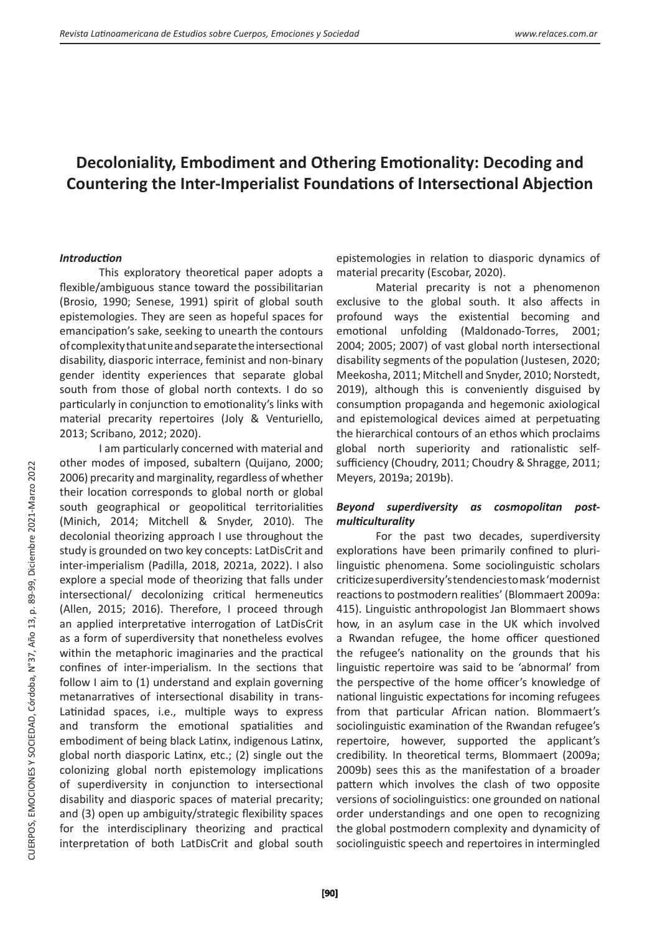# **Decoloniality, Embodiment and Othering Emotionality: Decoding and Countering the Inter-Imperialist Foundations of Intersectional Abjection**

#### *Introduction*

This exploratory theoretical paper adopts a flexible/ambiguous stance toward the possibilitarian (Brosio, 1990; Senese, 1991) spirit of global south epistemologies. They are seen as hopeful spaces for emancipation's sake, seeking to unearth the contours of complexity that unite and separate the intersectional disability, diasporic interrace, feminist and non-binary gender identity experiences that separate global south from those of global north contexts. I do so particularly in conjunction to emotionality's links with material precarity repertoires (Joly & Venturiello, 2013; Scribano, 2012; 2020).

I am particularly concerned with material and other modes of imposed, subaltern (Quijano, 2000; 2006) precarity and marginality, regardless of whether their location corresponds to global north or global south geographical or geopolitical territorialities (Minich, 2014; Mitchell & Snyder, 2010). The decolonial theorizing approach I use throughout the study is grounded on two key concepts: LatDisCrit and inter-imperialism (Padilla, 2018, 2021a, 2022). I also explore a special mode of theorizing that falls under intersectional/ decolonizing critical hermeneutics (Allen, 2015; 2016). Therefore, I proceed through an applied interpretative interrogation of LatDisCrit as a form of superdiversity that nonetheless evolves within the metaphoric imaginaries and the practical confines of inter-imperialism. In the sections that follow I aim to (1) understand and explain governing metanarratives of intersectional disability in trans-Latinidad spaces, i.e., multiple ways to express and transform the emotional spatialities and embodiment of being black Latinx, indigenous Latinx, global north diasporic Latinx, etc.; (2) single out the colonizing global north epistemology implications of superdiversity in conjunction to intersectional disability and diasporic spaces of material precarity; and (3) open up ambiguity/strategic flexibility spaces for the interdisciplinary theorizing and practical interpretation of both LatDisCrit and global south

epistemologies in relation to diasporic dynamics of material precarity (Escobar, 2020).

Material precarity is not a phenomenon exclusive to the global south. It also affects in profound ways the existential becoming and emotional unfolding (Maldonado-Torres, 2001; 2004; 2005; 2007) of vast global north intersectional disability segments of the population (Justesen, 2020; Meekosha, 2011; Mitchell and Snyder, 2010; Norstedt, 2019), although this is conveniently disguised by consumption propaganda and hegemonic axiological and epistemological devices aimed at perpetuating the hierarchical contours of an ethos which proclaims global north superiority and rationalistic selfsufficiency (Choudry, 2011; Choudry & Shragge, 2011; Meyers, 2019a; 2019b).

## *Beyond superdiversity as cosmopolitan postmulticulturality*

For the past two decades, superdiversity explorations have been primarily confined to plurilinguistic phenomena. Some sociolinguistic scholars criticize superdiversity's tendencies to mask 'modernist reactions to postmodern realities' (Blommaert 2009a: 415). Linguistic anthropologist Jan Blommaert shows how, in an asylum case in the UK which involved a Rwandan refugee, the home officer questioned the refugee's nationality on the grounds that his linguistic repertoire was said to be 'abnormal' from the perspective of the home officer's knowledge of national linguistic expectations for incoming refugees from that particular African nation. Blommaert's sociolinguistic examination of the Rwandan refugee's repertoire, however, supported the applicant's credibility. In theoretical terms, Blommaert (2009a; 2009b) sees this as the manifestation of a broader pattern which involves the clash of two opposite versions of sociolinguistics: one grounded on national order understandings and one open to recognizing the global postmodern complexity and dynamicity of sociolinguistic speech and repertoires in intermingled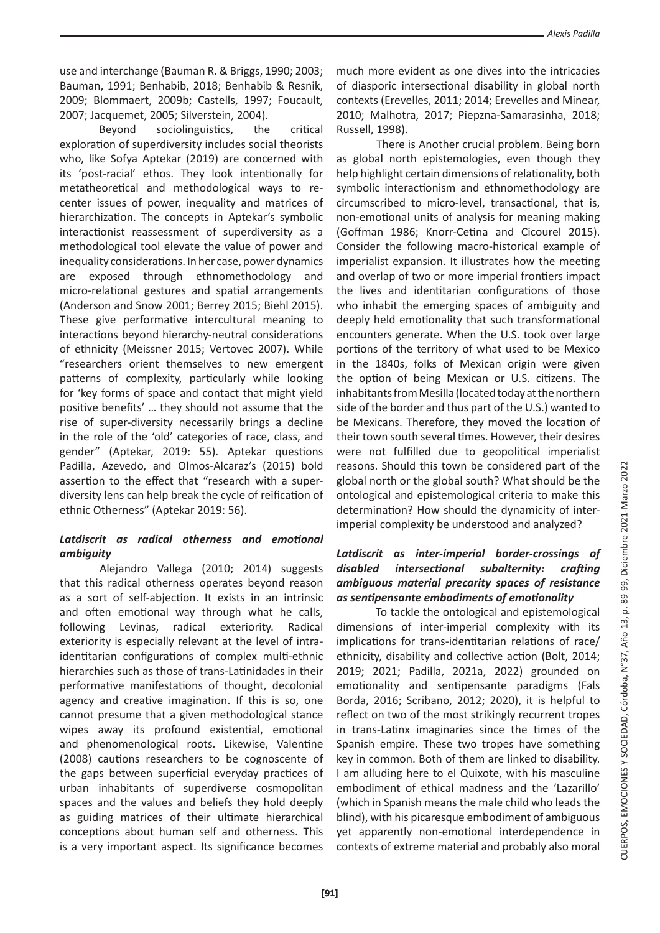use and interchange (Bauman R. & Briggs, 1990; 2003; Bauman, 1991; Benhabib, 2018; Benhabib & Resnik, 2009; Blommaert, 2009b; Castells, 1997; Foucault, 2007; Jacquemet, 2005; Silverstein, 2004).

Beyond sociolinguistics, the critical exploration of superdiversity includes social theorists who, like Sofya Aptekar (2019) are concerned with its 'post-racial' ethos. They look intentionally for metatheoretical and methodological ways to recenter issues of power, inequality and matrices of hierarchization. The concepts in Aptekar's symbolic interactionist reassessment of superdiversity as a methodological tool elevate the value of power and inequality considerations. In her case, power dynamics are exposed through ethnomethodology and micro-relational gestures and spatial arrangements (Anderson and Snow 2001; Berrey 2015; Biehl 2015). These give performative intercultural meaning to interactions beyond hierarchy-neutral considerations of ethnicity (Meissner 2015; Vertovec 2007). While "researchers orient themselves to new emergent patterns of complexity, particularly while looking for 'key forms of space and contact that might yield positive benefits' … they should not assume that the rise of super-diversity necessarily brings a decline in the role of the 'old' categories of race, class, and gender" (Aptekar, 2019: 55). Aptekar questions Padilla, Azevedo, and Olmos-Alcaraz's (2015) bold assertion to the effect that "research with a superdiversity lens can help break the cycle of reification of ethnic Otherness" (Aptekar 2019: 56).

## *Latdiscrit as radical otherness and emotional ambiguity*

 Alejandro Vallega (2010; 2014) suggests that this radical otherness operates beyond reason as a sort of self-abjection. It exists in an intrinsic and often emotional way through what he calls, following Levinas, radical exteriority. Radical exteriority is especially relevant at the level of intraidentitarian configurations of complex multi-ethnic hierarchies such as those of trans-Latinidades in their performative manifestations of thought, decolonial agency and creative imagination. If this is so, one cannot presume that a given methodological stance wipes away its profound existential, emotional and phenomenological roots. Likewise, Valentine (2008) cautions researchers to be cognoscente of the gaps between superficial everyday practices of urban inhabitants of superdiverse cosmopolitan spaces and the values and beliefs they hold deeply as guiding matrices of their ultimate hierarchical conceptions about human self and otherness. This is a very important aspect. Its significance becomes

much more evident as one dives into the intricacies of diasporic intersectional disability in global north contexts (Erevelles, 2011; 2014; Erevelles and Minear, 2010; Malhotra, 2017; Piepzna-Samarasinha, 2018; Russell, 1998).

 There is Another crucial problem. Being born as global north epistemologies, even though they help highlight certain dimensions of relationality, both symbolic interactionism and ethnomethodology are circumscribed to micro-level, transactional, that is, non-emotional units of analysis for meaning making (Goffman 1986; Knorr-Cetina and Cicourel 2015). Consider the following macro-historical example of imperialist expansion. It illustrates how the meeting and overlap of two or more imperial frontiers impact the lives and identitarian configurations of those who inhabit the emerging spaces of ambiguity and deeply held emotionality that such transformational encounters generate. When the U.S. took over large portions of the territory of what used to be Mexico in the 1840s, folks of Mexican origin were given the option of being Mexican or U.S. citizens. The inhabitants from Mesilla (located today at the northern side of the border and thus part of the U.S.) wanted to be Mexicans. Therefore, they moved the location of their town south several times. However, their desires were not fulfilled due to geopolitical imperialist reasons. Should this town be considered part of the global north or the global south? What should be the ontological and epistemological criteria to make this determination? How should the dynamicity of interimperial complexity be understood and analyzed?

# *Latdiscrit as inter-imperial border-crossings of disabled intersectional subalternity: crafting ambiguous material precarity spaces of resistance as sentipensante embodiments of emotionality*

To tackle the ontological and epistemological dimensions of inter-imperial complexity with its implications for trans-identitarian relations of race/ ethnicity, disability and collective action (Bolt, 2014; 2019; 2021; Padilla, 2021a, 2022) grounded on emotionality and sentipensante paradigms (Fals Borda, 2016; Scribano, 2012; 2020), it is helpful to reflect on two of the most strikingly recurrent tropes in trans-Latinx imaginaries since the times of the Spanish empire. These two tropes have something key in common. Both of them are linked to disability. I am alluding here to el Quixote, with his masculine embodiment of ethical madness and the 'Lazarillo' (which in Spanish means the male child who leads the blind), with his picaresque embodiment of ambiguous yet apparently non-emotional interdependence in contexts of extreme material and probably also moral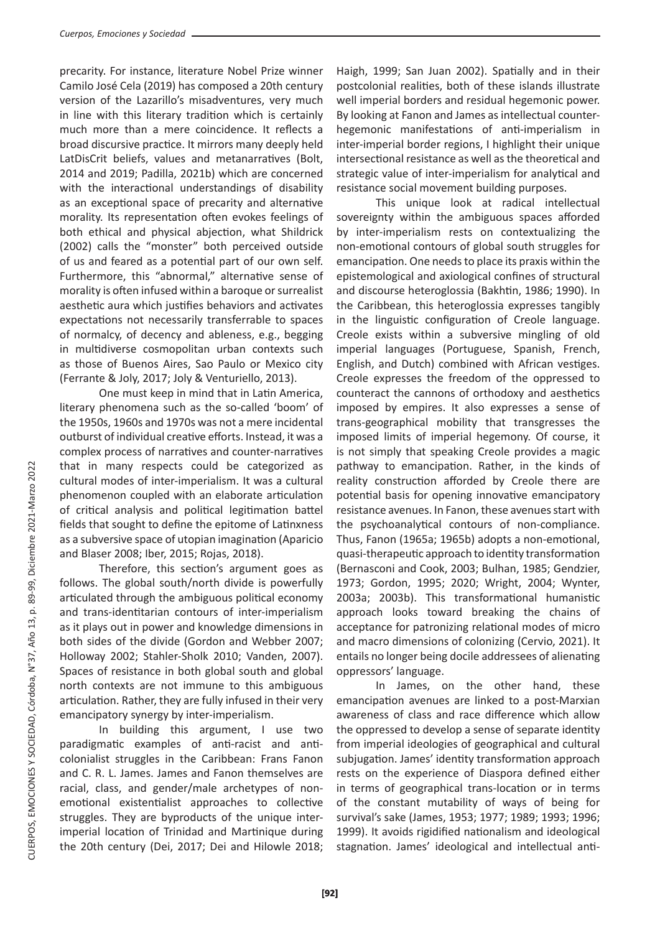precarity. For instance, literature Nobel Prize winner Camilo José Cela (2019) has composed a 20th century version of the Lazarillo's misadventures, very much in line with this literary tradition which is certainly much more than a mere coincidence. It reflects a broad discursive practice. It mirrors many deeply held LatDisCrit beliefs, values and metanarratives (Bolt, 2014 and 2019; Padilla, 2021b) which are concerned with the interactional understandings of disability as an exceptional space of precarity and alternative morality. Its representation often evokes feelings of both ethical and physical abjection, what Shildrick (2002) calls the "monster" both perceived outside of us and feared as a potential part of our own self. Furthermore, this "abnormal," alternative sense of morality is often infused within a baroque or surrealist aesthetic aura which justifies behaviors and activates expectations not necessarily transferrable to spaces of normalcy, of decency and ableness, e.g., begging in multidiverse cosmopolitan urban contexts such as those of Buenos Aires, Sao Paulo or Mexico city (Ferrante & Joly, 2017; Joly & Venturiello, 2013).

One must keep in mind that in Latin America, literary phenomena such as the so-called 'boom' of the 1950s, 1960s and 1970s was not a mere incidental outburst of individual creative efforts. Instead, it was a complex process of narratives and counter-narratives that in many respects could be categorized as cultural modes of inter-imperialism. It was a cultural phenomenon coupled with an elaborate articulation of critical analysis and political legitimation battel fields that sought to define the epitome of Latinxness as a subversive space of utopian imagination (Aparicio and Blaser 2008; Iber, 2015; Rojas, 2018).

Therefore, this section's argument goes as follows. The global south/north divide is powerfully articulated through the ambiguous political economy and trans-identitarian contours of inter-imperialism as it plays out in power and knowledge dimensions in both sides of the divide (Gordon and Webber 2007; Holloway 2002; Stahler-Sholk 2010; Vanden, 2007). Spaces of resistance in both global south and global north contexts are not immune to this ambiguous articulation. Rather, they are fully infused in their very emancipatory synergy by inter-imperialism.

In building this argument, I use two paradigmatic examples of anti-racist and anticolonialist struggles in the Caribbean: Frans Fanon and C. R. L. James. James and Fanon themselves are racial, class, and gender/male archetypes of nonemotional existentialist approaches to collective struggles. They are byproducts of the unique interimperial location of Trinidad and Martinique during the 20th century (Dei, 2017; Dei and Hilowle 2018; Haigh, 1999; San Juan 2002). Spatially and in their postcolonial realities, both of these islands illustrate well imperial borders and residual hegemonic power. By looking at Fanon and James as intellectual counterhegemonic manifestations of anti-imperialism in inter-imperial border regions, I highlight their unique intersectional resistance as well as the theoretical and strategic value of inter-imperialism for analytical and resistance social movement building purposes.

This unique look at radical intellectual sovereignty within the ambiguous spaces afforded by inter-imperialism rests on contextualizing the non-emotional contours of global south struggles for emancipation. One needs to place its praxis within the epistemological and axiological confines of structural and discourse heteroglossia (Bakhtin, 1986; 1990). In the Caribbean, this heteroglossia expresses tangibly in the linguistic configuration of Creole language. Creole exists within a subversive mingling of old imperial languages (Portuguese, Spanish, French, English, and Dutch) combined with African vestiges. Creole expresses the freedom of the oppressed to counteract the cannons of orthodoxy and aesthetics imposed by empires. It also expresses a sense of trans-geographical mobility that transgresses the imposed limits of imperial hegemony. Of course, it is not simply that speaking Creole provides a magic pathway to emancipation. Rather, in the kinds of reality construction afforded by Creole there are potential basis for opening innovative emancipatory resistance avenues. In Fanon, these avenues start with the psychoanalytical contours of non-compliance. Thus, Fanon (1965a; 1965b) adopts a non-emotional, quasi-therapeutic approach to identity transformation (Bernasconi and Cook, 2003; Bulhan, 1985; Gendzier, 1973; Gordon, 1995; 2020; Wright, 2004; Wynter, 2003a; 2003b). This transformational humanistic approach looks toward breaking the chains of acceptance for patronizing relational modes of micro and macro dimensions of colonizing (Cervio, 2021). It entails no longer being docile addressees of alienating oppressors' language.

In James, on the other hand, these emancipation avenues are linked to a post-Marxian awareness of class and race difference which allow the oppressed to develop a sense of separate identity from imperial ideologies of geographical and cultural subjugation. James' identity transformation approach rests on the experience of Diaspora defined either in terms of geographical trans-location or in terms of the constant mutability of ways of being for survival's sake (James, 1953; 1977; 1989; 1993; 1996; 1999). It avoids rigidified nationalism and ideological stagnation. James' ideological and intellectual anti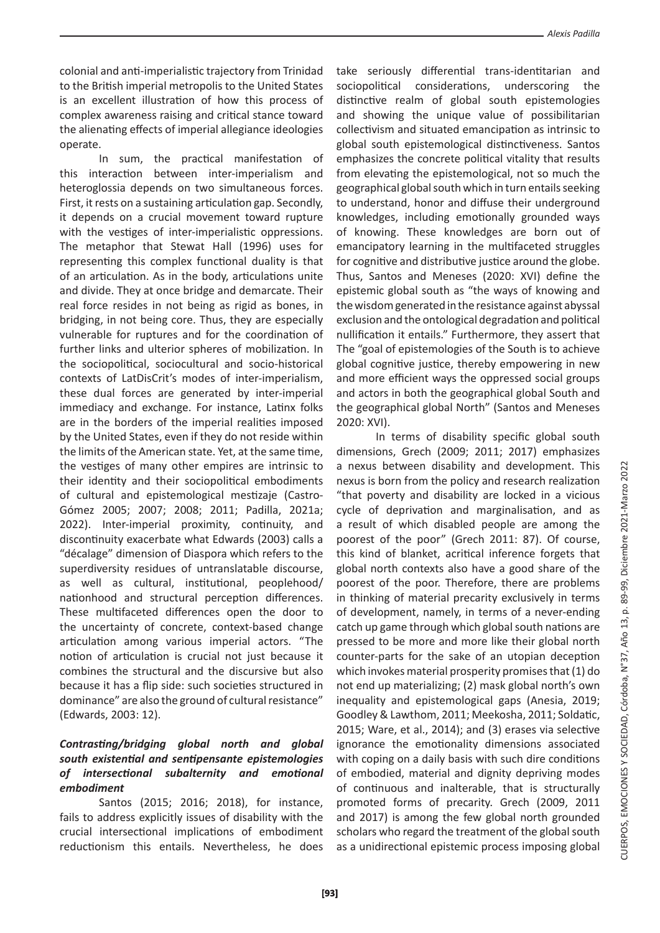colonial and anti-imperialistic trajectory from Trinidad to the British imperial metropolis to the United States is an excellent illustration of how this process of complex awareness raising and critical stance toward the alienating effects of imperial allegiance ideologies operate.

In sum, the practical manifestation of this interaction between inter-imperialism and heteroglossia depends on two simultaneous forces. First, it rests on a sustaining articulation gap. Secondly, it depends on a crucial movement toward rupture with the vestiges of inter-imperialistic oppressions. The metaphor that Stewat Hall (1996) uses for representing this complex functional duality is that of an articulation. As in the body, articulations unite and divide. They at once bridge and demarcate. Their real force resides in not being as rigid as bones, in bridging, in not being core. Thus, they are especially vulnerable for ruptures and for the coordination of further links and ulterior spheres of mobilization. In the sociopolitical, sociocultural and socio-historical contexts of LatDisCrit's modes of inter-imperialism, these dual forces are generated by inter-imperial immediacy and exchange. For instance, Latinx folks are in the borders of the imperial realities imposed by the United States, even if they do not reside within the limits of the American state. Yet, at the same time, the vestiges of many other empires are intrinsic to their identity and their sociopolitical embodiments of cultural and epistemological mestizaje (Castro-Gómez 2005; 2007; 2008; 2011; Padilla, 2021a; 2022). Inter-imperial proximity, continuity, and discontinuity exacerbate what Edwards (2003) calls a "décalage" dimension of Diaspora which refers to the superdiversity residues of untranslatable discourse, as well as cultural, institutional, peoplehood/ nationhood and structural perception differences. These multifaceted differences open the door to the uncertainty of concrete, context-based change articulation among various imperial actors. "The notion of articulation is crucial not just because it combines the structural and the discursive but also because it has a flip side: such societies structured in dominance" are also the ground of cultural resistance" (Edwards, 2003: 12).

# *Contrasting/bridging global north and global south existential and sentipensante epistemologies of intersectional subalternity and emotional embodiment*

Santos (2015; 2016; 2018), for instance, fails to address explicitly issues of disability with the crucial intersectional implications of embodiment reductionism this entails. Nevertheless, he does

take seriously differential trans-identitarian and sociopolitical considerations, underscoring the distinctive realm of global south epistemologies and showing the unique value of possibilitarian collectivism and situated emancipation as intrinsic to global south epistemological distinctiveness. Santos emphasizes the concrete political vitality that results from elevating the epistemological, not so much the geographical global south which in turn entails seeking to understand, honor and diffuse their underground knowledges, including emotionally grounded ways of knowing. These knowledges are born out of emancipatory learning in the multifaceted struggles for cognitive and distributive justice around the globe. Thus, Santos and Meneses (2020: XVI) define the epistemic global south as "the ways of knowing and the wisdom generated in the resistance against abyssal exclusion and the ontological degradation and political nullification it entails." Furthermore, they assert that The "goal of epistemologies of the South is to achieve global cognitive justice, thereby empowering in new and more efficient ways the oppressed social groups and actors in both the geographical global South and the geographical global North" (Santos and Meneses 2020: XVI).

In terms of disability specific global south dimensions, Grech (2009; 2011; 2017) emphasizes a nexus between disability and development. This nexus is born from the policy and research realization "that poverty and disability are locked in a vicious cycle of deprivation and marginalisation, and as a result of which disabled people are among the poorest of the poor" (Grech 2011: 87). Of course, this kind of blanket, acritical inference forgets that global north contexts also have a good share of the poorest of the poor. Therefore, there are problems in thinking of material precarity exclusively in terms of development, namely, in terms of a never-ending catch up game through which global south nations are pressed to be more and more like their global north counter-parts for the sake of an utopian deception which invokes material prosperity promises that (1) do not end up materializing; (2) mask global north's own inequality and epistemological gaps (Anesia, 2019; Goodley & Lawthom, 2011; Meekosha, 2011; Soldatic, 2015; Ware, et al., 2014); and (3) erases via selective ignorance the emotionality dimensions associated with coping on a daily basis with such dire conditions of embodied, material and dignity depriving modes of continuous and inalterable, that is structurally promoted forms of precarity. Grech (2009, 2011 and 2017) is among the few global north grounded scholars who regard the treatment of the global south as a unidirectional epistemic process imposing global

**[93]**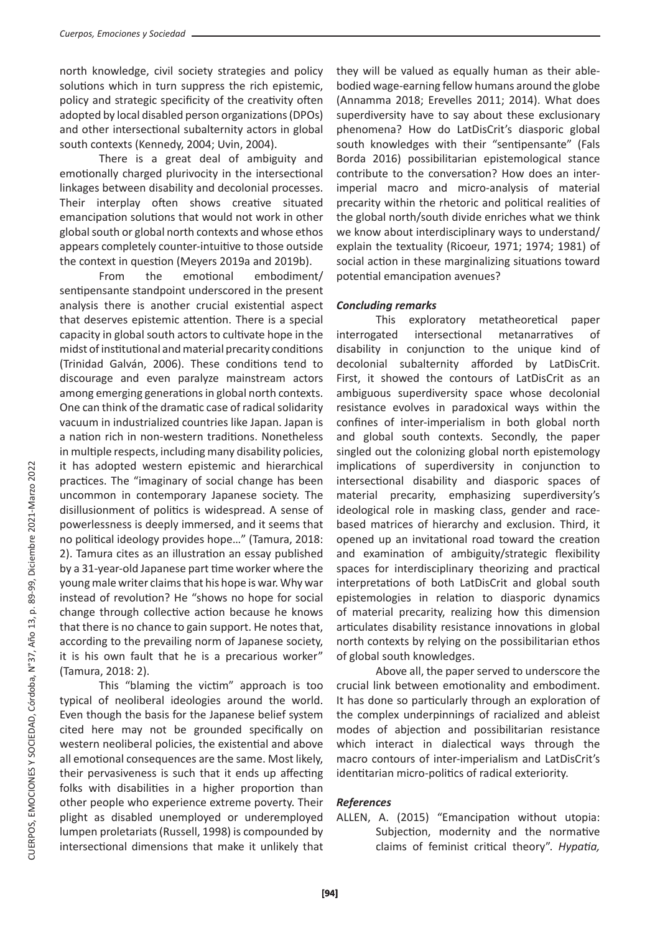north knowledge, civil society strategies and policy solutions which in turn suppress the rich epistemic, policy and strategic specificity of the creativity often adopted by local disabled person organizations (DPOs) and other intersectional subalternity actors in global south contexts (Kennedy, 2004; Uvin, 2004).

There is a great deal of ambiguity and emotionally charged plurivocity in the intersectional linkages between disability and decolonial processes. Their interplay often shows creative situated emancipation solutions that would not work in other global south or global north contexts and whose ethos appears completely counter-intuitive to those outside the context in question (Meyers 2019a and 2019b).

From the emotional embodiment/ sentipensante standpoint underscored in the present analysis there is another crucial existential aspect that deserves epistemic attention. There is a special capacity in global south actors to cultivate hope in the midst of institutional and material precarity conditions (Trinidad Galván, 2006). These conditions tend to discourage and even paralyze mainstream actors among emerging generations in global north contexts. One can think of the dramatic case of radical solidarity vacuum in industrialized countries like Japan. Japan is a nation rich in non-western traditions. Nonetheless in multiple respects, including many disability policies, it has adopted western epistemic and hierarchical practices. The "imaginary of social change has been uncommon in contemporary Japanese society. The disillusionment of politics is widespread. A sense of powerlessness is deeply immersed, and it seems that no political ideology provides hope…" (Tamura, 2018: 2). Tamura cites as an illustration an essay published by a 31-year-old Japanese part time worker where the young male writer claims that his hope is war. Why war instead of revolution? He "shows no hope for social change through collective action because he knows that there is no chance to gain support. He notes that, according to the prevailing norm of Japanese society, it is his own fault that he is a precarious worker" (Tamura, 2018: 2).

This "blaming the victim" approach is too typical of neoliberal ideologies around the world. Even though the basis for the Japanese belief system cited here may not be grounded specifically on western neoliberal policies, the existential and above all emotional consequences are the same. Most likely, their pervasiveness is such that it ends up affecting folks with disabilities in a higher proportion than other people who experience extreme poverty. Their plight as disabled unemployed or underemployed lumpen proletariats (Russell, 1998) is compounded by intersectional dimensions that make it unlikely that they will be valued as equally human as their ablebodied wage-earning fellow humans around the globe (Annamma 2018; Erevelles 2011; 2014). What does superdiversity have to say about these exclusionary phenomena? How do LatDisCrit's diasporic global south knowledges with their "sentipensante" (Fals Borda 2016) possibilitarian epistemological stance contribute to the conversation? How does an interimperial macro and micro-analysis of material precarity within the rhetoric and political realities of the global north/south divide enriches what we think we know about interdisciplinary ways to understand/ explain the textuality (Ricoeur, 1971; 1974; 1981) of social action in these marginalizing situations toward potential emancipation avenues?

### *Concluding remarks*

This exploratory metatheoretical paper interrogated intersectional metanarratives of disability in conjunction to the unique kind of decolonial subalternity afforded by LatDisCrit. First, it showed the contours of LatDisCrit as an ambiguous superdiversity space whose decolonial resistance evolves in paradoxical ways within the confines of inter-imperialism in both global north and global south contexts. Secondly, the paper singled out the colonizing global north epistemology implications of superdiversity in conjunction to intersectional disability and diasporic spaces of material precarity, emphasizing superdiversity's ideological role in masking class, gender and racebased matrices of hierarchy and exclusion. Third, it opened up an invitational road toward the creation and examination of ambiguity/strategic flexibility spaces for interdisciplinary theorizing and practical interpretations of both LatDisCrit and global south epistemologies in relation to diasporic dynamics of material precarity, realizing how this dimension articulates disability resistance innovations in global north contexts by relying on the possibilitarian ethos of global south knowledges.

Above all, the paper served to underscore the crucial link between emotionality and embodiment. It has done so particularly through an exploration of the complex underpinnings of racialized and ableist modes of abjection and possibilitarian resistance which interact in dialectical ways through the macro contours of inter-imperialism and LatDisCrit's identitarian micro-politics of radical exteriority.

### *References*

ALLEN, A. (2015) "Emancipation without utopia: Subjection, modernity and the normative claims of feminist critical theory". *Hypatia,*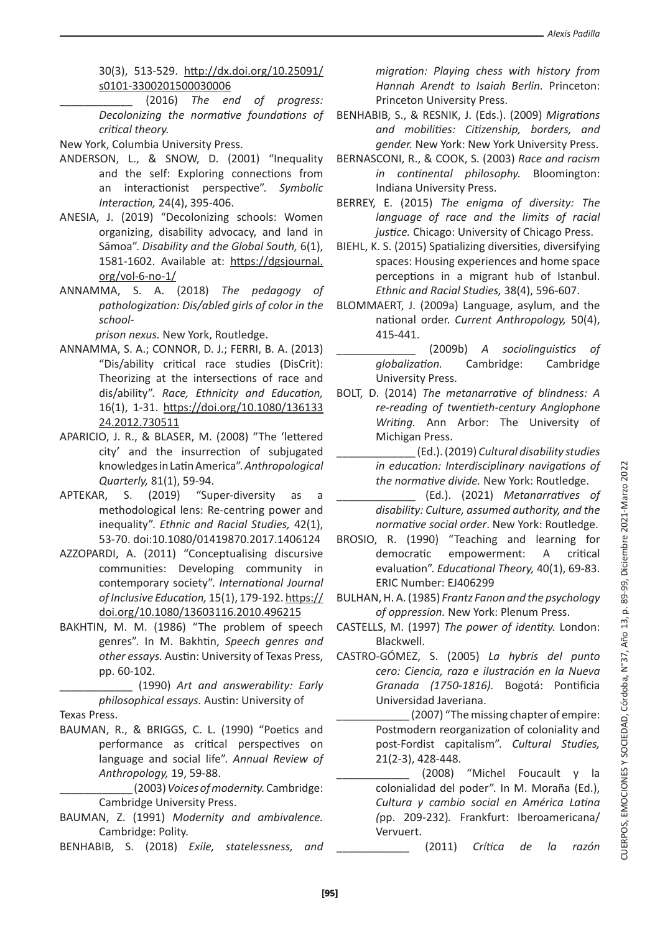30(3), 513-529. http://dx.doi.org/10.25091/ s0101-3300201500030006

\_\_\_\_\_\_\_\_\_\_\_\_ (2016) *The end of progress: Decolonizing the normative foundations of critical theory.*

New York, Columbia University Press.

- ANDERSON, L., & SNOW, D. (2001) "Inequality and the self: Exploring connections from an interactionist perspective". *Symbolic Interaction,* 24(4), 395-406.
- ANESIA, J. (2019) "Decolonizing schools: Women organizing, disability advocacy, and land in Sāmoa". *Disability and the Global South,* 6(1), 1581-1602. Available at: https://dgsjournal. org/vol-6-no-1/
- ANNAMMA, S. A. (2018) *The pedagogy of pathologization: Dis/abled girls of color in the school-*

 *prison nexus.* New York, Routledge.

- ANNAMMA, S. A.; CONNOR, D. J.; FERRI, B. A. (2013) "Dis/ability critical race studies (DisCrit): Theorizing at the intersections of race and dis/ability". *Race, Ethnicity and Education,* 16(1), 1-31. https://doi.org/10.1080/136133 24.2012.730511
- APARICIO, J. R., & BLASER, M. (2008) "The 'lettered city' and the insurrection of subjugated knowledges in Latin America". *Anthropological Quarterly,* 81(1), 59-94.
- APTEKAR, S. (2019) "Super-diversity as a methodological lens: Re-centring power and inequality". *Ethnic and Racial Studies,* 42(1), 53-70. doi:10.1080/01419870.2017.1406124
- AZZOPARDI, A. (2011) "Conceptualising discursive communities: Developing community in contemporary society". *International Journal of Inclusive Education,* 15(1), 179-192. https:// doi.org/10.1080/13603116.2010.496215
- BAKHTIN, M. M. (1986) "The problem of speech genres". In M. Bakhtin, *Speech genres and other essays.* Austin: University of Texas Press, pp. 60-102.

\_\_\_\_\_\_\_\_\_\_\_\_ (1990) *Art and answerability: Early philosophical essays.* Austin: University of

Texas Press.

BAUMAN, R., & BRIGGS, C. L. (1990) "Poetics and performance as critical perspectives on language and social life". *Annual Review of Anthropology,* 19, 59-88.

\_\_\_\_\_\_\_\_\_\_\_\_ (2003) *Voices of modernity.* Cambridge: Cambridge University Press.

- BAUMAN, Z. (1991) *Modernity and ambivalence.* Cambridge: Polity.
- BENHABIB, S. (2018) *Exile, statelessness, and*

*migration: Playing chess with history from Hannah Arendt to Isaiah Berlin.* Princeton: Princeton University Press.

- BENHABIB, S., & RESNIK, J. (Eds.). (2009) *Migrations and mobilities: Citizenship, borders, and gender.* New York: New York University Press.
- BERNASCONI, R., & COOK, S. (2003) *Race and racism in continental philosophy.* Bloomington: Indiana University Press.
- BERREY, E. (2015) *The enigma of diversity: The language of race and the limits of racial justice.* Chicago: University of Chicago Press.
- BIEHL, K. S. (2015) Spatializing diversities, diversifying spaces: Housing experiences and home space perceptions in a migrant hub of Istanbul. *Ethnic and Racial Studies,* 38(4), 596-607.
- BLOMMAERT, J. (2009a) Language, asylum, and the national order. *Current Anthropology,* 50(4), 415-441.
- \_\_\_\_\_\_\_\_\_\_\_\_\_ (2009b) *A sociolinguistics of globalization.* Cambridge: Cambridge University Press.
- BOLT, D. (2014) *The metanarrative of blindness: A re-reading of twentieth-century Anglophone Writing.* Ann Arbor: The University of Michigan Press.
	- \_\_\_\_\_\_\_\_\_\_\_\_\_ (Ed.). (2019) *Cultural disability studies in education: Interdisciplinary navigations of the normative divide.* New York: Routledge.
	- \_\_\_\_\_\_\_\_\_\_\_\_\_ (Ed.). (2021) *Metanarratives of disability: Culture, assumed authority, and the normative social order*. New York: Routledge.
- BROSIO, R. (1990) "Teaching and learning for democratic empowerment: A critical evaluation". *Educational Theory,* 40(1), 69-83. ERIC Number: EJ406299
- BULHAN, H. A. (1985) *Frantz Fanon and the psychology of oppression.* New York: Plenum Press.
- CASTELLS, M. (1997) *The power of identity.* London: Blackwell.
- CASTRO-GÓMEZ, S. (2005) *La hybris del punto cero: Ciencia, raza e ilustración en la Nueva Granada (1750-1816).* Bogotá: Pontificia Universidad Javeriana.

CUERPOS, EMOCIONES Y SOCIEDAD, Córdoba, N°37, Año 13, p. 89-99, Diciembre 2021-Marzo 2022

CUERPOS, EMOCIONES Y SOCIEDAD, Córdoba, N°37, Año 13, p. 89-99, Diciembre 2021-Marzo 2022

(2007) "The missing chapter of empire: Postmodern reorganization of coloniality and post-Fordist capitalism". *Cultural Studies,* 21(2-3), 428-448.

\_\_\_\_\_\_\_\_\_\_\_\_ (2008) "Michel Foucault y la colonialidad del poder". In M. Moraña (Ed.), *Cultura y cambio social en América Latina (*pp. 209-232)*.* Frankfurt: Iberoamericana/ Vervuert.

\_\_\_\_\_\_\_\_\_\_\_\_ (2011) *Crítica de la razón*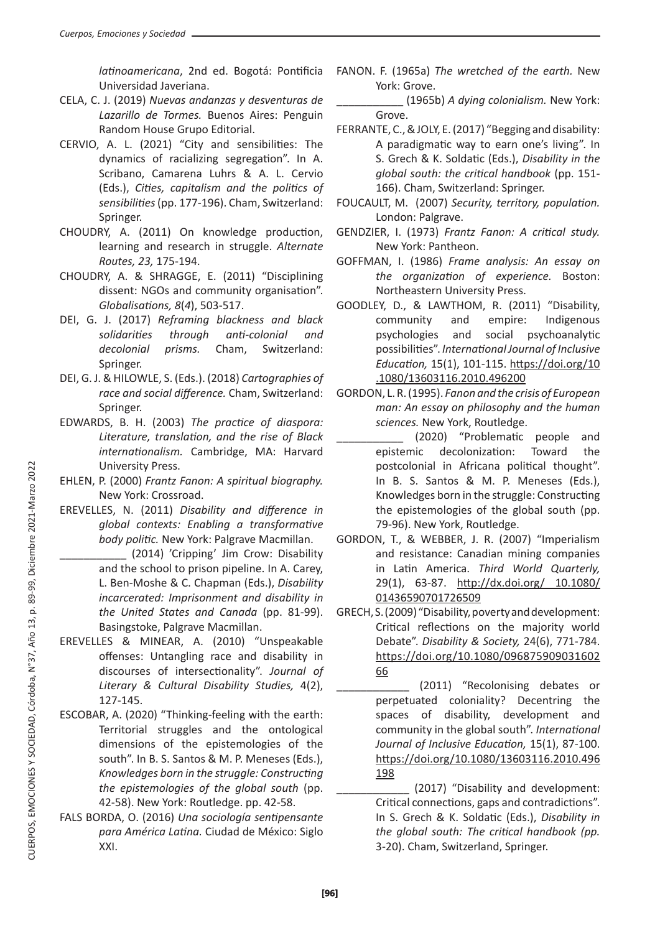*latinoamericana*, 2nd ed. Bogotá: Pontificia Universidad Javeriana.

- CELA, C. J. (2019) *Nuevas andanzas y desventuras de Lazarillo de Tormes.* Buenos Aires: Penguin Random House Grupo Editorial.
- CERVIO, A. L. (2021) "City and sensibilities: The dynamics of racializing segregation". In A. Scribano, Camarena Luhrs & A. L. Cervio (Eds.), *Cities, capitalism and the politics of sensibilities* (pp. 177-196). Cham, Switzerland: Springer.
- CHOUDRY, A. (2011) On knowledge production, learning and research in struggle. *Alternate Routes, 23,* 175-194.
- CHOUDRY, A. & SHRAGGE, E. (2011) "Disciplining dissent: NGOs and community organisation". *Globalisations, 8*(*4*), 503-517.
- DEI, G. J. (2017) *Reframing blackness and black solidarities through anti-colonial and decolonial prisms.* Cham, Switzerland: Springer.
- DEI, G. J. & HILOWLE, S. (Eds.). (2018) *Cartographies of race and social difference.* Cham, Switzerland: Springer.
- EDWARDS, B. H. (2003) *The practice of diaspora: Literature, translation, and the rise of Black internationalism.* Cambridge, MA: Harvard University Press.
- EHLEN, P. (2000) *Frantz Fanon: A spiritual biography.* New York: Crossroad.
- EREVELLES, N. (2011) *Disability and difference in global contexts: Enabling a transformative body politic.* New York: Palgrave Macmillan.
	- (2014) 'Cripping' Jim Crow: Disability and the school to prison pipeline. In A. Carey, L. Ben-Moshe & C. Chapman (Eds.), *Disability incarcerated: Imprisonment and disability in the United States and Canada* (pp. 81-99). Basingstoke, Palgrave Macmillan.
- EREVELLES & MINEAR, A. (2010) "Unspeakable offenses: Untangling race and disability in discourses of intersectionality". *Journal of Literary & Cultural Disability Studies,* 4(2), 127-145.
- ESCOBAR, A. (2020) "Thinking-feeling with the earth: Territorial struggles and the ontological dimensions of the epistemologies of the south". In B. S. Santos & M. P. Meneses (Eds.), *Knowledges born in the struggle: Constructing the epistemologies of the global south* (pp. 42-58). New York: Routledge. pp. 42-58.
- FALS BORDA, O. (2016) *Una sociología sentipensante para América Latina.* Ciudad de México: Siglo XXI.
- FANON. F. (1965a) *The wretched of the earth.* New York: Grove.
- \_\_\_\_\_\_\_\_\_\_\_ (1965b) *A dying colonialism.* New York: Grove.
- FERRANTE, C., & JOLY, E. (2017) "Begging and disability: A paradigmatic way to earn one's living". In S. Grech & K. Soldatic (Eds.), *Disability in the global south: the critical handbook* (pp. 151- 166). Cham, Switzerland: Springer.
- FOUCAULT, M. (2007) *Security, territory, population.* London: Palgrave.
- GENDZIER, I. (1973) *Frantz Fanon: A critical study.* New York: Pantheon.
- GOFFMAN, I. (1986) *Frame analysis: An essay on the organization of experience.* Boston: Northeastern University Press.
- GOODLEY, D., & LAWTHOM, R. (2011) "Disability, community and empire: Indigenous psychologies and social psychoanalytic possibilities". *International Journal of Inclusive Education,* 15(1), 101-115. https://doi.org/10 .1080/13603116.2010.496200
- GORDON, L. R. (1995). *Fanon and the crisis of European man: An essay on philosophy and the human sciences.* New York, Routledge.
	- (2020) "Problematic people and epistemic decolonization: Toward the postcolonial in Africana political thought". In B. S. Santos & M. P. Meneses (Eds.), Knowledges born in the struggle: Constructing the epistemologies of the global south (pp. 79-96). New York, Routledge.
- GORDON, T., & WEBBER, J. R. (2007) "Imperialism and resistance: Canadian mining companies in Latin America. *Third World Quarterly,* 29(1), 63-87. http://dx.doi.org/ 10.1080/ 01436590701726509
- GRECH, S. (2009) "Disability, poverty and development: Critical reflections on the majority world Debate". *Disability & Society,* 24(6), 771-784. https://doi.org/10.1080/096875909031602 66
	- \_\_\_\_\_\_\_\_\_\_\_\_ (2011) "Recolonising debates or perpetuated coloniality? Decentring the spaces of disability, development and community in the global south". *International Journal of Inclusive Education,* 15(1), 87-100. https://doi.org/10.1080/13603116.2010.496 198
		- (2017) "Disability and development: Critical connections, gaps and contradictions". In S. Grech & K. Soldatic (Eds.), *Disability in the global south: The critical handbook (pp.*  3-20). Cham, Switzerland, Springer.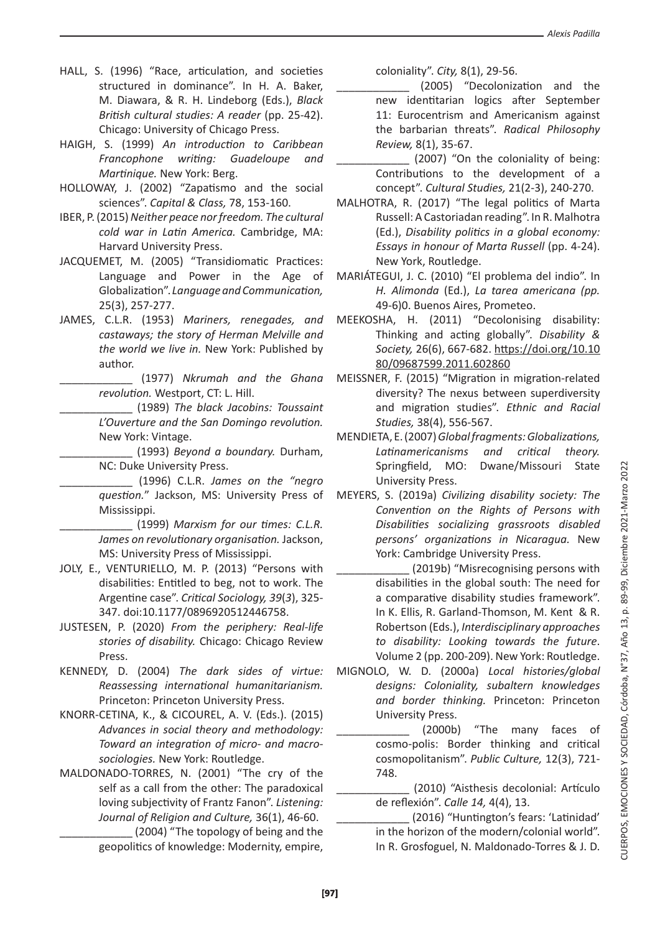- HALL, S. (1996) "Race, articulation, and societies structured in dominance". In H. A. Baker, M. Diawara, & R. H. Lindeborg (Eds.), *Black British cultural studies: A reader* (pp. 25-42). Chicago: University of Chicago Press.
- HAIGH, S. (1999) *An introduction to Caribbean Francophone writing: Guadeloupe and Martinique.* New York: Berg.
- HOLLOWAY, J. (2002) "Zapatismo and the social sciences". *Capital & Class,* 78, 153-160.
- IBER, P. (2015) *Neither peace nor freedom. The cultural cold war in Latin America.* Cambridge, MA: Harvard University Press.
- JACQUEMET, M. (2005) "Transidiomatic Practices: Language and Power in the Age of Globalization". *Language and Communication,* 25(3), 257-277.
- JAMES, C.L.R. (1953) *Mariners, renegades, and castaways; the story of Herman Melville and the world we live in.* New York: Published by author.

\_\_\_\_\_\_\_\_\_\_\_\_ (1977) *Nkrumah and the Ghana revolution.* Westport, CT: L. Hill.

\_\_\_\_\_\_\_\_\_\_\_\_ (1989) *The black Jacobins: Toussaint L'Ouverture and the San Domingo revolution.* New York: Vintage.

\_\_\_\_\_\_\_\_\_\_\_\_ (1993) *Beyond a boundary.* Durham, NC: Duke University Press.

> \_\_\_\_\_\_\_\_\_\_\_\_ (1996) C.L.R. *James on the "negro question.*" Jackson, MS: University Press of Mississippi.

> \_\_\_\_\_\_\_\_\_\_\_\_ (1999) *Marxism for our times: C.L.R. James on revolutionary organisation.* Jackson, MS: University Press of Mississippi.

- JOLY, E., VENTURIELLO, M. P. (2013) "Persons with disabilities: Entitled to beg, not to work. The Argentine case". *Critical Sociology, 39*(*3*), 325- 347. doi:10.1177/0896920512446758.
- JUSTESEN, P. (2020) *From the periphery: Real-life stories of disability.* Chicago: Chicago Review Press.
- KENNEDY, D. (2004) *The dark sides of virtue: Reassessing international humanitarianism.* Princeton: Princeton University Press.
- KNORR-CETINA, K., & CICOUREL, A. V. (Eds.). (2015) *Advances in social theory and methodology: Toward an integration of micro- and macrosociologies.* New York: Routledge.
- MALDONADO-TORRES, N. (2001) "The cry of the self as a call from the other: The paradoxical loving subjectivity of Frantz Fanon". *Listening: Journal of Religion and Culture,* 36(1), 46-60.

\_\_\_\_\_\_\_\_\_\_\_\_ (2004) "The topology of being and the geopolitics of knowledge: Modernity, empire, coloniality". *City,* 8(1), 29-56.

(2005) "Decolonization and the new identitarian logics after September 11: Eurocentrism and Americanism against the barbarian threats". *Radical Philosophy Review,* 8(1), 35-67.

(2007) "On the coloniality of being: Contributions to the development of a concept". *Cultural Studies,* 21(2-3), 240-270.

- MALHOTRA, R. (2017) "The legal politics of Marta Russell: A Castoriadan reading". In R. Malhotra (Ed.), *Disability politics in a global economy: Essays in honour of Marta Russell* (pp. 4-24). New York, Routledge.
- MARIÁTEGUI, J. C. (2010) "El problema del indio". In *H. Alimonda* (Ed.), *La tarea americana (pp.*  49-6)0. Buenos Aires, Prometeo.
- MEEKOSHA, H. (2011) "Decolonising disability: Thinking and acting globally". *Disability & Society,* 26(6), 667-682. https://doi.org/10.10 80/09687599.2011.602860
- MEISSNER, F. (2015) "Migration in migration-related diversity? The nexus between superdiversity and migration studies". *Ethnic and Racial Studies,* 38(4), 556-567.
- MENDIETA, E. (2007) *Global fragments: Globalizations, Latinamericanisms and critical theory.* Springfield, MO: Dwane/Missouri State University Press.
- MEYERS, S. (2019a) *Civilizing disability society: The Convention on the Rights of Persons with Disabilities socializing grassroots disabled persons' organizations in Nicaragua.* New York: Cambridge University Press.
- (2019b) "Misrecognising persons with disabilities in the global south: The need for a comparative disability studies framework". In K. Ellis, R. Garland-Thomson, M. Kent & R. Robertson (Eds.), *Interdisciplinary approaches to disability: Looking towards the future*. Volume 2 (pp. 200-209). New York: Routledge.
- MIGNOLO, W. D. (2000a) *Local histories/global designs: Coloniality, subaltern knowledges and border thinking.* Princeton: Princeton University Press.
	- \_\_\_\_\_\_\_\_\_\_\_\_ (2000b) "The many faces of cosmo-polis: Border thinking and critical cosmopolitanism". *Public Culture,* 12(3), 721- 748.

\_\_\_\_\_\_\_\_\_\_\_\_ (2010) "Aisthesis decolonial: Artículo de reflexión". *Calle 14,* 4(4), 13.

\_\_\_\_\_\_\_\_\_\_\_\_ (2016) "Huntington's fears: 'Latinidad' in the horizon of the modern/colonial world". In R. Grosfoguel, N. Maldonado-Torres & J. D.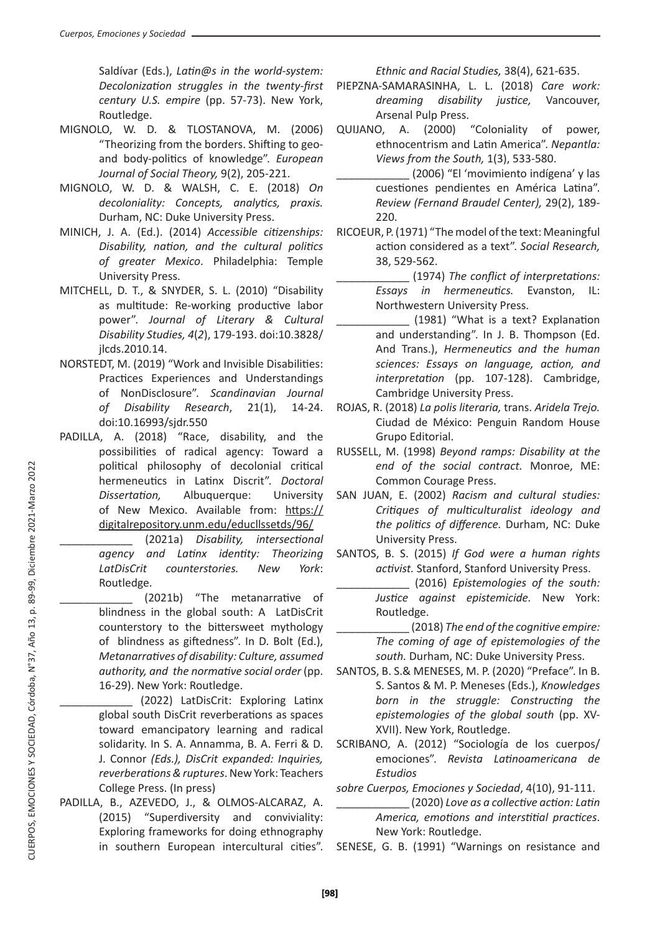Saldívar (Eds.), *Latin@s in the world-system: Decolonization struggles in the twenty-first century U.S. empire* (pp. 57-73). New York, Routledge.

- MIGNOLO, W. D. & TLOSTANOVA, M. (2006) "Theorizing from the borders. Shifting to geoand body-politics of knowledge". *European Journal of Social Theory,* 9(2), 205-221.
- MIGNOLO, W. D. & WALSH, C. E. (2018) *On decoloniality: Concepts, analytics, praxis.* Durham, NC: Duke University Press.
- MINICH, J. A. (Ed.). (2014) *Accessible citizenships: Disability, nation, and the cultural politics of greater Mexico*. Philadelphia: Temple University Press.
- MITCHELL, D. T., & SNYDER, S. L. (2010) "Disability as multitude: Re-working productive labor power". *Journal of Literary & Cultural Disability Studies, 4*(*2*), 179-193. doi:10.3828/ jlcds.2010.14.
- NORSTEDT, M. (2019) "Work and Invisible Disabilities: Practices Experiences and Understandings of NonDisclosure". *Scandinavian Journal of Disability Research*, 21(1), 14-24. doi:10.16993/sjdr.550
- PADILLA, A. (2018) "Race, disability, and the possibilities of radical agency: Toward a political philosophy of decolonial critical hermeneutics in Latinx Discrit". *Doctoral Dissertation,* Albuquerque: University of New Mexico. Available from: https:// digitalrepository.unm.edu/educllssetds/96/

\_\_\_\_\_\_\_\_\_\_\_\_ (2021a) *Disability, intersectional agency and Latinx identity: Theorizing LatDisCrit counterstories. New York*: Routledge.

\_\_\_\_\_\_\_\_\_\_\_\_ (2021b) "The metanarrative of blindness in the global south: A LatDisCrit counterstory to the bittersweet mythology of blindness as giftedness". In D. Bolt (Ed.), *Metanarratives of disability: Culture, assumed authority, and the normative social order* (pp. 16-29). New York: Routledge.

\_\_\_\_\_\_\_\_\_\_\_\_ (2022) LatDisCrit: Exploring Latinx global south DisCrit reverberations as spaces toward emancipatory learning and radical solidarity. In S. A. Annamma, B. A. Ferri & D. J. Connor *(Eds.), DisCrit expanded: Inquiries, reverberations & ruptures*. New York: Teachers College Press. (In press)

PADILLA, B., AZEVEDO, J., & OLMOS-ALCARAZ, A. (2015) "Superdiversity and conviviality: Exploring frameworks for doing ethnography in southern European intercultural cities". *Ethnic and Racial Studies,* 38(4), 621-635.

PIEPZNA-SAMARASINHA, L. L. (2018) *Care work: dreaming disability justice,* Vancouver, Arsenal Pulp Press.

QUIJANO, A. (2000) "Coloniality of power, ethnocentrism and Latin America". *Nepantla: Views from the South,* 1(3), 533-580.

\_\_\_\_\_\_\_\_\_\_\_\_ (2006) "El 'movimiento indígena' y las cuestiones pendientes en América Latina". *Review (Fernand Braudel Center),* 29(2), 189- 220.

RICOEUR, P. (1971) "The model of the text: Meaningful action considered as a text". *Social Research,* 38, 529-562.

\_\_\_\_\_\_\_\_\_\_\_\_ (1974) *The conflict of interpretations: Essays in hermeneutics.* Evanston, IL: Northwestern University Press.

(1981) "What is a text? Explanation and understanding". In J. B. Thompson (Ed. And Trans.), *Hermeneutics and the human sciences: Essays on language, action, and interpretation* (pp. 107-128). Cambridge, Cambridge University Press.

- ROJAS, R. (2018) *La polis literaria,* trans. *Aridela Trejo.* Ciudad de México: Penguin Random House Grupo Editorial.
- RUSSELL, M. (1998) *Beyond ramps: Disability at the end of the social contract.* Monroe, ME: Common Courage Press.
- SAN JUAN, E. (2002) *Racism and cultural studies: Critiques of multiculturalist ideology and the politics of difference.* Durham, NC: Duke University Press.
- SANTOS, B. S. (2015) *If God were a human rights activist.* Stanford, Stanford University Press.

\_\_\_\_\_\_\_\_\_\_\_\_ (2016) *Epistemologies of the south: Justice against epistemicide.* New York: Routledge.

\_\_\_\_\_\_\_\_\_\_\_\_ (2018) *The end of the cognitive empire: The coming of age of epistemologies of the south.* Durham, NC: Duke University Press.

- SANTOS, B. S.& MENESES, M. P. (2020) "Preface". In B. S. Santos & M. P. Meneses (Eds.), *Knowledges born in the struggle: Constructing the epistemologies of the global south* (pp. XV-XVII). New York, Routledge.
- SCRIBANO, A. (2012) "Sociología de los cuerpos/ emociones". *Revista Latinoamericana de Estudios*

*sobre Cuerpos, Emociones y Sociedad*, 4(10), 91-111.

\_\_\_\_\_\_\_\_\_\_\_\_ (2020) *Love as a collective action: Latin America, emotions and interstitial practices*. New York: Routledge.

SENESE, G. B. (1991) "Warnings on resistance and